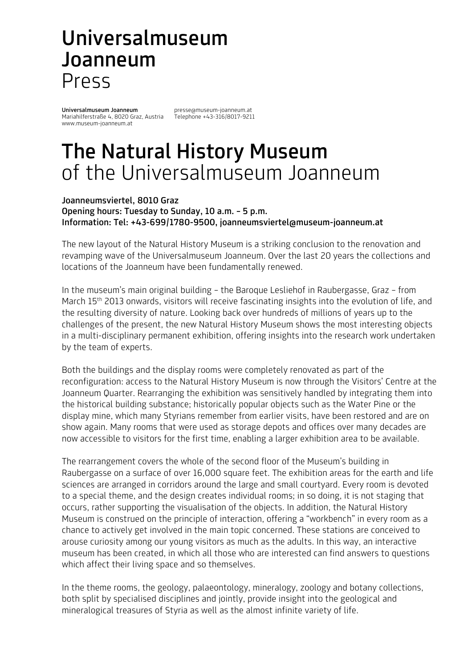# Universalmuseum Joanneum Press

Universalmuseum Joanneum presse@museum-joanneum.at<br>Mariahilferstraße 4, 8020 Graz, Austria Telephone +43-316/8017-9211 Mariahilferstraße 4, 8020 Graz, Austria www.museum-joanneum.at

# The Natural History Museum of the Universalmuseum Joanneum

#### Joanneumsviertel, 8010 Graz Opening hours: Tuesday to Sunday, 10 a.m. – 5 p.m. Information: Tel: +43-699/1780-9500, joanneumsviertel@museum-joanneum.at

The new layout of the Natural History Museum is a striking conclusion to the renovation and revamping wave of the Universalmuseum Joanneum. Over the last 20 years the collections and locations of the Joanneum have been fundamentally renewed.

In the museum's main original building – the Baroque Lesliehof in Raubergasse, Graz – from March 15<sup>th</sup> 2013 onwards, visitors will receive fascinating insights into the evolution of life, and the resulting diversity of nature. Looking back over hundreds of millions of years up to the challenges of the present, the new Natural History Museum shows the most interesting objects in a multi-disciplinary permanent exhibition, offering insights into the research work undertaken by the team of experts.

Both the buildings and the display rooms were completely renovated as part of the reconfiguration: access to the Natural History Museum is now through the Visitors' Centre at the Joanneum Quarter. Rearranging the exhibition was sensitively handled by integrating them into the historical building substance; historically popular objects such as the Water Pine or the display mine, which many Styrians remember from earlier visits, have been restored and are on show again. Many rooms that were used as storage depots and offices over many decades are now accessible to visitors for the first time, enabling a larger exhibition area to be available.

The rearrangement covers the whole of the second floor of the Museum's building in Raubergasse on a surface of over 16,000 square feet. The exhibition areas for the earth and life sciences are arranged in corridors around the large and small courtyard. Every room is devoted to a special theme, and the design creates individual rooms; in so doing, it is not staging that occurs, rather supporting the visualisation of the objects. In addition, the Natural History Museum is construed on the principle of interaction, offering a "workbench" in every room as a chance to actively get involved in the main topic concerned. These stations are conceived to arouse curiosity among our young visitors as much as the adults. In this way, an interactive museum has been created, in which all those who are interested can find answers to questions which affect their living space and so themselves.

In the theme rooms, the geology, palaeontology, mineralogy, zoology and botany collections, both split by specialised disciplines and jointly, provide insight into the geological and mineralogical treasures of Styria as well as the almost infinite variety of life.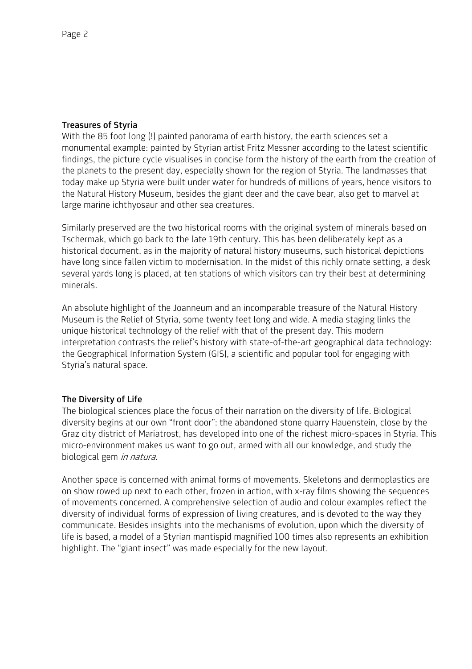## Treasures of Styria

With the 85 foot long (!) painted panorama of earth history, the earth sciences set a monumental example: painted by Styrian artist Fritz Messner according to the latest scientific findings, the picture cycle visualises in concise form the history of the earth from the creation of the planets to the present day, especially shown for the region of Styria. The landmasses that today make up Styria were built under water for hundreds of millions of years, hence visitors to the Natural History Museum, besides the giant deer and the cave bear, also get to marvel at large marine ichthyosaur and other sea creatures.

Similarly preserved are the two historical rooms with the original system of minerals based on Tschermak, which go back to the late 19th century. This has been deliberately kept as a historical document, as in the majority of natural history museums, such historical depictions have long since fallen victim to modernisation. In the midst of this richly ornate setting, a desk several yards long is placed, at ten stations of which visitors can try their best at determining minerals.

An absolute highlight of the Joanneum and an incomparable treasure of the Natural History Museum is the Relief of Styria, some twenty feet long and wide. A media staging links the unique historical technology of the relief with that of the present day. This modern interpretation contrasts the relief's history with state-of-the-art geographical data technology: the Geographical Information System (GIS), a scientific and popular tool for engaging with Styria's natural space.

### The Diversity of Life

The biological sciences place the focus of their narration on the diversity of life. Biological diversity begins at our own "front door": the abandoned stone quarry Hauenstein, close by the Graz city district of Mariatrost, has developed into one of the richest micro-spaces in Styria. This micro-environment makes us want to go out, armed with all our knowledge, and study the biological gem in natura.

Another space is concerned with animal forms of movements. Skeletons and dermoplastics are on show rowed up next to each other, frozen in action, with x-ray films showing the sequences of movements concerned. A comprehensive selection of audio and colour examples reflect the diversity of individual forms of expression of living creatures, and is devoted to the way they communicate. Besides insights into the mechanisms of evolution, upon which the diversity of life is based, a model of a Styrian mantispid magnified 100 times also represents an exhibition highlight. The "giant insect" was made especially for the new layout.